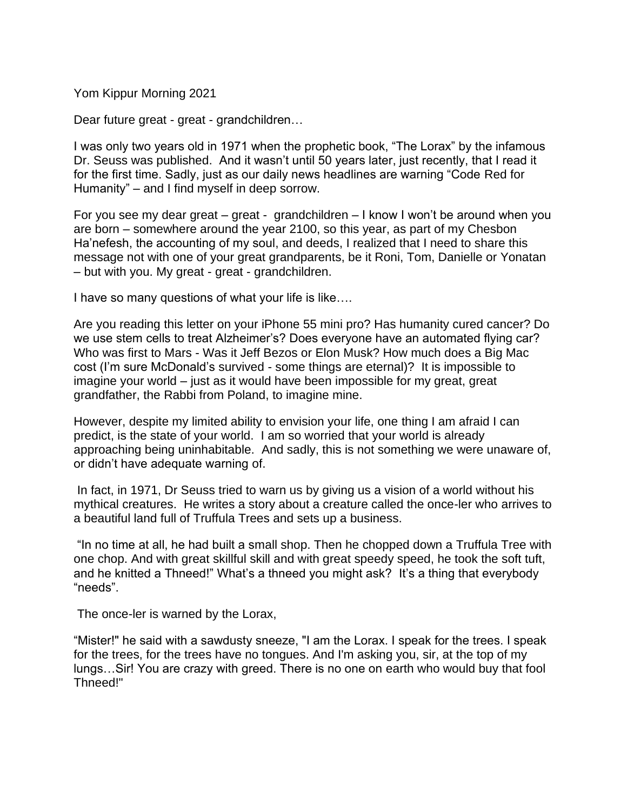Yom Kippur Morning 2021

Dear future great - great - grandchildren…

I was only two years old in 1971 when the prophetic book, "The Lorax" by the infamous Dr. Seuss was published. And it wasn't until 50 years later, just recently, that I read it for the first time. Sadly, just as our daily news headlines are warning "Code Red for Humanity" – and I find myself in deep sorrow.

For you see my dear great – great - grandchildren – I know I won't be around when you are born – somewhere around the year 2100, so this year, as part of my Chesbon Ha'nefesh, the accounting of my soul, and deeds, I realized that I need to share this message not with one of your great grandparents, be it Roni, Tom, Danielle or Yonatan – but with you. My great - great - grandchildren.

I have so many questions of what your life is like….

Are you reading this letter on your iPhone 55 mini pro? Has humanity cured cancer? Do we use stem cells to treat Alzheimer's? Does everyone have an automated flying car? Who was first to Mars - Was it Jeff Bezos or Elon Musk? How much does a Big Mac cost (I'm sure McDonald's survived - some things are eternal)? It is impossible to imagine your world – just as it would have been impossible for my great, great grandfather, the Rabbi from Poland, to imagine mine.

However, despite my limited ability to envision your life, one thing I am afraid I can predict, is the state of your world. I am so worried that your world is already approaching being uninhabitable. And sadly, this is not something we were unaware of, or didn't have adequate warning of.

In fact, in 1971, Dr Seuss tried to warn us by giving us a vision of a world without his mythical creatures. He writes a story about a creature called the once-ler who arrives to a beautiful land full of Truffula Trees and sets up a business.

"In no time at all, he had built a small shop. Then he chopped down a Truffula Tree with one chop. And with great skillful skill and with great speedy speed, he took the soft tuft, and he knitted a Thneed!" What's a thneed you might ask? It's a thing that everybody "needs".

The once-ler is warned by the Lorax,

"Mister!" he said with a sawdusty sneeze, "I am the Lorax. I speak for the trees. I speak for the trees, for the trees have no tongues. And I'm asking you, sir, at the top of my lungs…Sir! You are crazy with greed. There is no one on earth who would buy that fool Thneed!"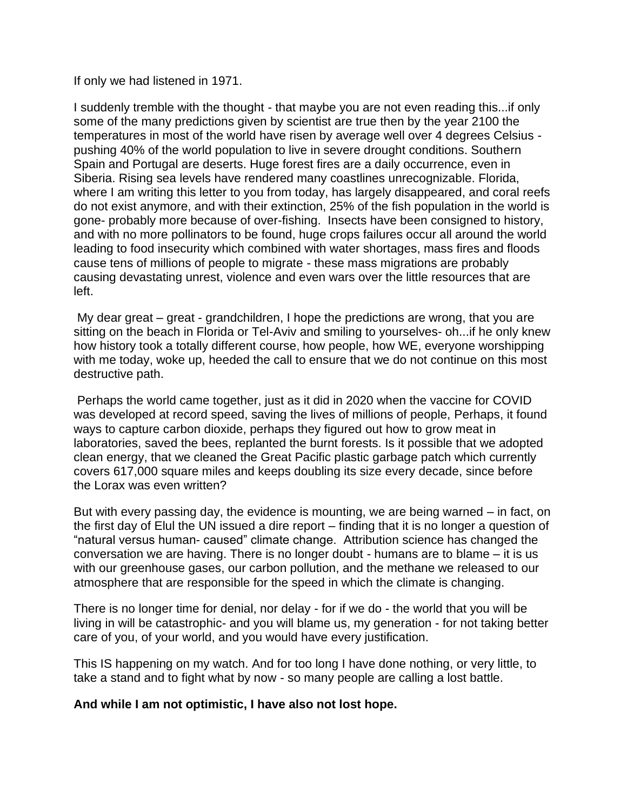If only we had listened in 1971.

I suddenly tremble with the thought - that maybe you are not even reading this...if only some of the many predictions given by scientist are true then by the year 2100 the temperatures in most of the world have risen by average well over 4 degrees Celsius pushing 40% of the world population to live in severe drought conditions. Southern Spain and Portugal are deserts. Huge forest fires are a daily occurrence, even in Siberia. Rising sea levels have rendered many coastlines unrecognizable. Florida, where I am writing this letter to you from today, has largely disappeared, and coral reefs do not exist anymore, and with their extinction, 25% of the fish population in the world is gone- probably more because of over-fishing. Insects have been consigned to history, and with no more pollinators to be found, huge crops failures occur all around the world leading to food insecurity which combined with water shortages, mass fires and floods cause tens of millions of people to migrate - these mass migrations are probably causing devastating unrest, violence and even wars over the little resources that are left.

My dear great – great - grandchildren, I hope the predictions are wrong, that you are sitting on the beach in Florida or Tel-Aviv and smiling to yourselves- oh...if he only knew how history took a totally different course, how people, how WE, everyone worshipping with me today, woke up, heeded the call to ensure that we do not continue on this most destructive path.

Perhaps the world came together, just as it did in 2020 when the vaccine for COVID was developed at record speed, saving the lives of millions of people, Perhaps, it found ways to capture carbon dioxide, perhaps they figured out how to grow meat in laboratories, saved the bees, replanted the burnt forests. Is it possible that we adopted clean energy, that we cleaned the Great Pacific plastic garbage patch which currently covers 617,000 square miles and keeps doubling its size every decade, since before the Lorax was even written?

But with every passing day, the evidence is mounting, we are being warned – in fact, on the first day of Elul the UN issued a dire report – finding that it is no longer a question of "natural versus human- caused" climate change. Attribution science has changed the conversation we are having. There is no longer doubt - humans are to blame – it is us with our greenhouse gases, our carbon pollution, and the methane we released to our atmosphere that are responsible for the speed in which the climate is changing.

There is no longer time for denial, nor delay - for if we do - the world that you will be living in will be catastrophic- and you will blame us, my generation - for not taking better care of you, of your world, and you would have every justification.

This IS happening on my watch. And for too long I have done nothing, or very little, to take a stand and to fight what by now - so many people are calling a lost battle.

## **And while I am not optimistic, I have also not lost hope.**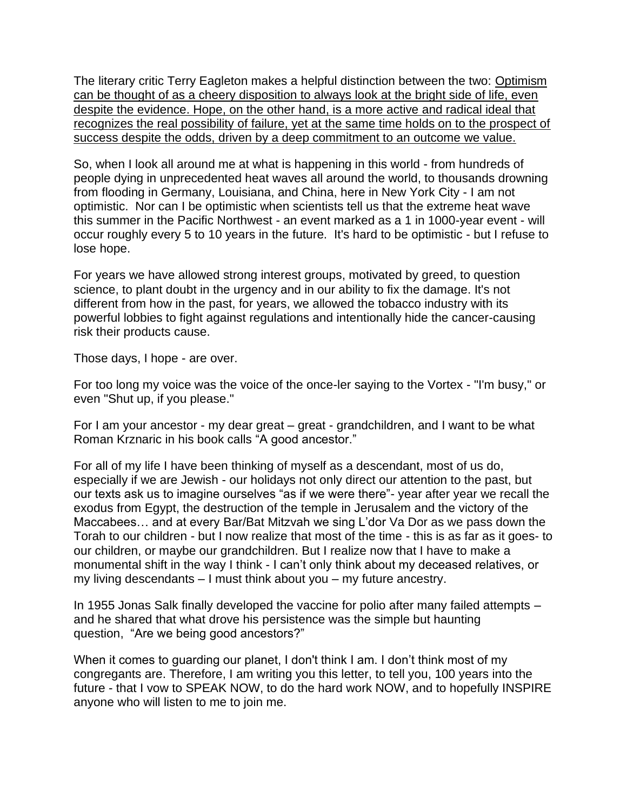The literary critic Terry Eagleton makes a helpful distinction between the two: Optimism can be thought of as a cheery disposition to always look at the bright side of life, even despite the evidence. Hope, on the other hand, is a more active and radical ideal that recognizes the real possibility of failure, yet at the same time holds on to the prospect of success despite the odds, driven by a deep commitment to an outcome we value.

So, when I look all around me at what is happening in this world - from hundreds of people dying in unprecedented heat waves all around the world, to thousands drowning from flooding in Germany, Louisiana, and China, here in New York City - I am not optimistic. Nor can I be optimistic when scientists tell us that the extreme heat wave this summer in the Pacific Northwest - an event marked as a 1 in 1000-year event - will occur roughly every 5 to 10 years in the future. It's hard to be optimistic - but I refuse to lose hope.

For years we have allowed strong interest groups, motivated by greed, to question science, to plant doubt in the urgency and in our ability to fix the damage. It's not different from how in the past, for years, we allowed the tobacco industry with its powerful lobbies to fight against regulations and intentionally hide the cancer-causing risk their products cause.

Those days, I hope - are over.

For too long my voice was the voice of the once-ler saying to the Vortex - "I'm busy," or even "Shut up, if you please."

For I am your ancestor - my dear great – great - grandchildren, and I want to be what Roman Krznaric in his book calls "A good ancestor."

For all of my life I have been thinking of myself as a descendant, most of us do, especially if we are Jewish - our holidays not only direct our attention to the past, but our texts ask us to imagine ourselves "as if we were there"- year after year we recall the exodus from Egypt, the destruction of the temple in Jerusalem and the victory of the Maccabees… and at every Bar/Bat Mitzvah we sing L'dor Va Dor as we pass down the Torah to our children - but I now realize that most of the time - this is as far as it goes- to our children, or maybe our grandchildren. But I realize now that I have to make a monumental shift in the way I think - I can't only think about my deceased relatives, or my living descendants – I must think about you – my future ancestry.

In 1955 Jonas Salk finally developed the vaccine for polio after many failed attempts – and he shared that what drove his persistence was the simple but haunting question, "Are we being good ancestors?"

When it comes to guarding our planet, I don't think I am. I don't think most of my congregants are. Therefore, I am writing you this letter, to tell you, 100 years into the future - that I vow to SPEAK NOW, to do the hard work NOW, and to hopefully INSPIRE anyone who will listen to me to join me.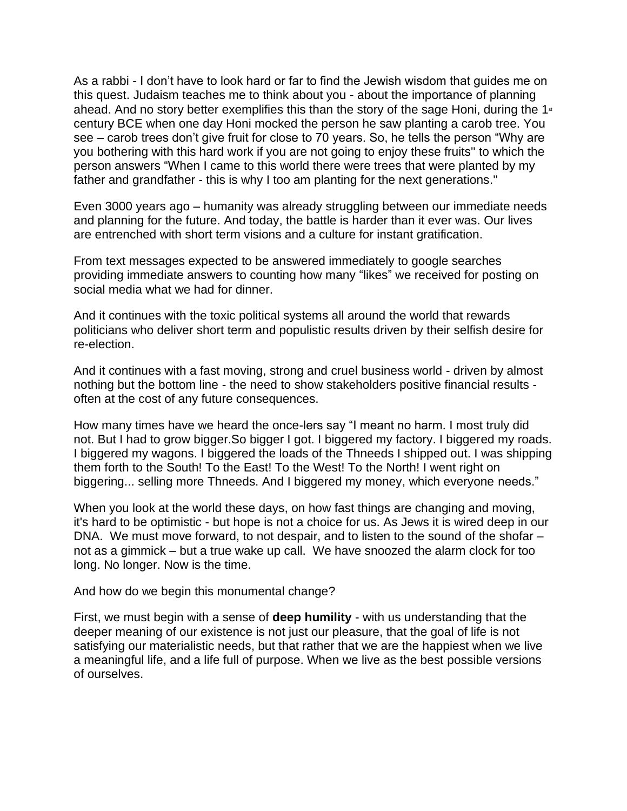As a rabbi - I don't have to look hard or far to find the Jewish wisdom that guides me on this quest. Judaism teaches me to think about you - about the importance of planning ahead. And no story better exemplifies this than the story of the sage Honi, during the  $1<sup>st</sup>$ century BCE when one day Honi mocked the person he saw planting a carob tree. You see – carob trees don't give fruit for close to 70 years. So, he tells the person "Why are you bothering with this hard work if you are not going to enjoy these fruits'' to which the person answers "When I came to this world there were trees that were planted by my father and grandfather - this is why I too am planting for the next generations.''

Even 3000 years ago – humanity was already struggling between our immediate needs and planning for the future. And today, the battle is harder than it ever was. Our lives are entrenched with short term visions and a culture for instant gratification.

From text messages expected to be answered immediately to google searches providing immediate answers to counting how many "likes" we received for posting on social media what we had for dinner.

And it continues with the toxic political systems all around the world that rewards politicians who deliver short term and populistic results driven by their selfish desire for re-election.

And it continues with a fast moving, strong and cruel business world - driven by almost nothing but the bottom line - the need to show stakeholders positive financial results often at the cost of any future consequences.

How many times have we heard the once-lers say "I meant no harm. I most truly did not. But I had to grow bigger.So bigger I got. I biggered my factory. I biggered my roads. I biggered my wagons. I biggered the loads of the Thneeds I shipped out. I was shipping them forth to the South! To the East! To the West! To the North! I went right on biggering... selling more Thneeds. And I biggered my money, which everyone needs."

When you look at the world these days, on how fast things are changing and moving, it's hard to be optimistic - but hope is not a choice for us. As Jews it is wired deep in our DNA. We must move forward, to not despair, and to listen to the sound of the shofar – not as a gimmick – but a true wake up call. We have snoozed the alarm clock for too long. No longer. Now is the time.

And how do we begin this monumental change?

First, we must begin with a sense of **deep humility** - with us understanding that the deeper meaning of our existence is not just our pleasure, that the goal of life is not satisfying our materialistic needs, but that rather that we are the happiest when we live a meaningful life, and a life full of purpose. When we live as the best possible versions of ourselves.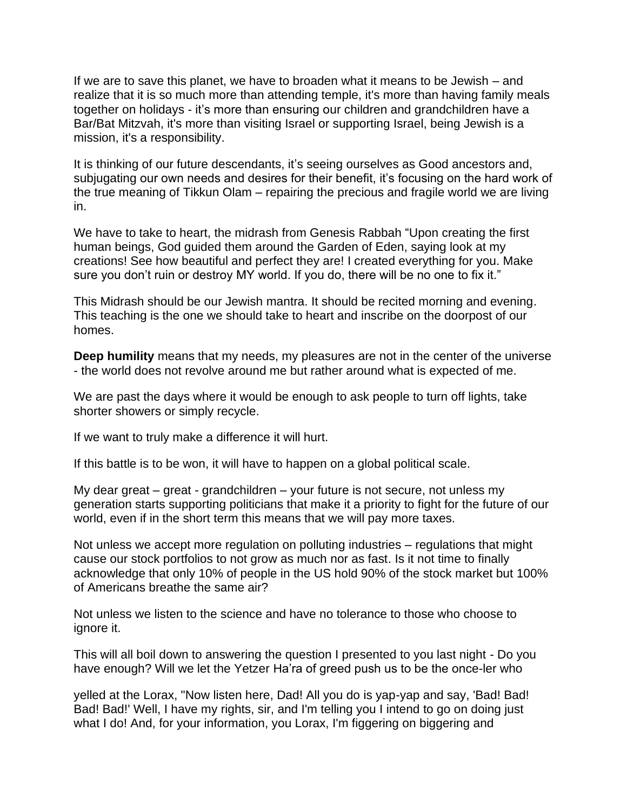If we are to save this planet, we have to broaden what it means to be Jewish – and realize that it is so much more than attending temple, it's more than having family meals together on holidays - it's more than ensuring our children and grandchildren have a Bar/Bat Mitzvah, it's more than visiting Israel or supporting Israel, being Jewish is a mission, it's a responsibility.

It is thinking of our future descendants, it's seeing ourselves as Good ancestors and, subjugating our own needs and desires for their benefit, it's focusing on the hard work of the true meaning of Tikkun Olam – repairing the precious and fragile world we are living in.

We have to take to heart, the midrash from Genesis Rabbah "Upon creating the first human beings, God guided them around the Garden of Eden, saying look at my creations! See how beautiful and perfect they are! I created everything for you. Make sure you don't ruin or destroy MY world. If you do, there will be no one to fix it."

This Midrash should be our Jewish mantra. It should be recited morning and evening. This teaching is the one we should take to heart and inscribe on the doorpost of our homes.

**Deep humility** means that my needs, my pleasures are not in the center of the universe - the world does not revolve around me but rather around what is expected of me.

We are past the days where it would be enough to ask people to turn off lights, take shorter showers or simply recycle.

If we want to truly make a difference it will hurt.

If this battle is to be won, it will have to happen on a global political scale.

My dear great – great - grandchildren – your future is not secure, not unless my generation starts supporting politicians that make it a priority to fight for the future of our world, even if in the short term this means that we will pay more taxes.

Not unless we accept more regulation on polluting industries – regulations that might cause our stock portfolios to not grow as much nor as fast. Is it not time to finally acknowledge that only 10% of people in the US hold 90% of the stock market but 100% of Americans breathe the same air?

Not unless we listen to the science and have no tolerance to those who choose to ignore it.

This will all boil down to answering the question I presented to you last night - Do you have enough? Will we let the Yetzer Ha'ra of greed push us to be the once-ler who

yelled at the Lorax, "Now listen here, Dad! All you do is yap-yap and say, 'Bad! Bad! Bad! Bad!' Well, I have my rights, sir, and I'm telling you I intend to go on doing just what I do! And, for your information, you Lorax, I'm figgering on biggering and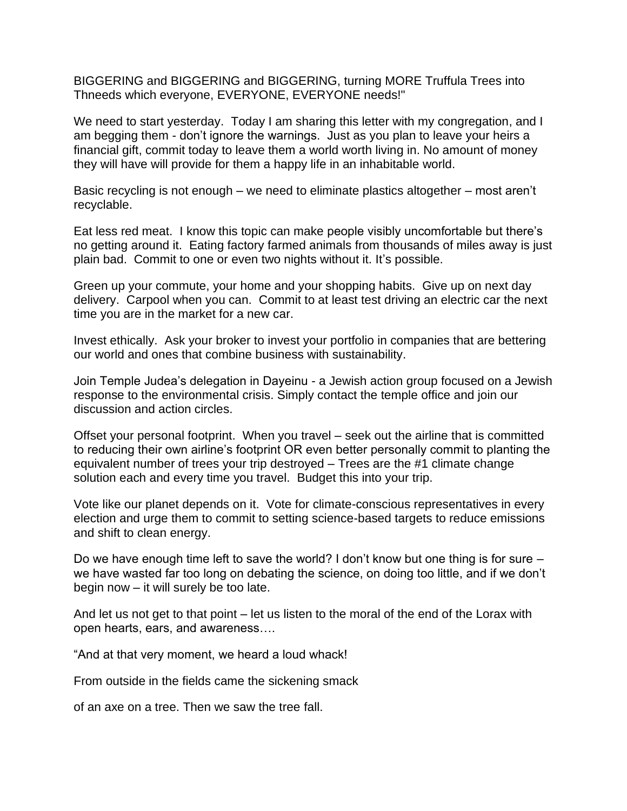BIGGERING and BIGGERING and BIGGERING, turning MORE Truffula Trees into Thneeds which everyone, EVERYONE, EVERYONE needs!"

We need to start yesterday. Today I am sharing this letter with my congregation, and I am begging them - don't ignore the warnings. Just as you plan to leave your heirs a financial gift, commit today to leave them a world worth living in. No amount of money they will have will provide for them a happy life in an inhabitable world.

Basic recycling is not enough – we need to eliminate plastics altogether – most aren't recyclable.

Eat less red meat. I know this topic can make people visibly uncomfortable but there's no getting around it. Eating factory farmed animals from thousands of miles away is just plain bad. Commit to one or even two nights without it. It's possible.

Green up your commute, your home and your shopping habits. Give up on next day delivery. Carpool when you can. Commit to at least test driving an electric car the next time you are in the market for a new car.

Invest ethically. Ask your broker to invest your portfolio in companies that are bettering our world and ones that combine business with sustainability.

Join Temple Judea's delegation in Dayeinu - a Jewish action group focused on a Jewish response to the environmental crisis. Simply contact the temple office and join our discussion and action circles.

Offset your personal footprint. When you travel – seek out the airline that is committed to reducing their own airline's footprint OR even better personally commit to planting the equivalent number of trees your trip destroyed – Trees are the #1 climate change solution each and every time you travel. Budget this into your trip.

Vote like our planet depends on it. Vote for climate-conscious representatives in every election and urge them to commit to setting science-based targets to reduce emissions and shift to clean energy.

Do we have enough time left to save the world? I don't know but one thing is for sure – we have wasted far too long on debating the science, on doing too little, and if we don't begin now – it will surely be too late.

And let us not get to that point – let us listen to the moral of the end of the Lorax with open hearts, ears, and awareness….

"And at that very moment, we heard a loud whack!

From outside in the fields came the sickening smack

of an axe on a tree. Then we saw the tree fall.